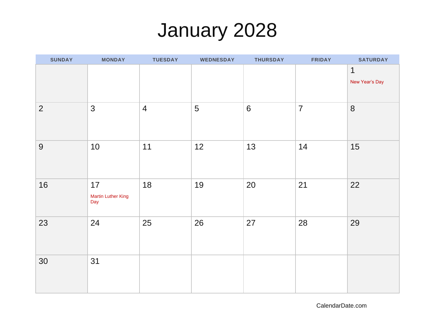## January 2028

| <b>SUNDAY</b>  | <b>MONDAY</b>                          | <b>TUESDAY</b> | <b>WEDNESDAY</b> | <b>THURSDAY</b> | <b>FRIDAY</b>  | <b>SATURDAY</b>     |
|----------------|----------------------------------------|----------------|------------------|-----------------|----------------|---------------------|
|                |                                        |                |                  |                 |                | 1<br>New Year's Day |
| $\overline{2}$ | $\mathfrak{S}$                         | $\overline{4}$ | 5                | $6\phantom{1}6$ | $\overline{7}$ | 8                   |
| 9              | 10                                     | 11             | 12               | 13              | 14             | 15                  |
| 16             | 17<br><b>Martin Luther King</b><br>Day | 18             | 19               | 20              | 21             | 22                  |
| 23             | 24                                     | 25             | 26               | 27              | 28             | 29                  |
| 30             | 31                                     |                |                  |                 |                |                     |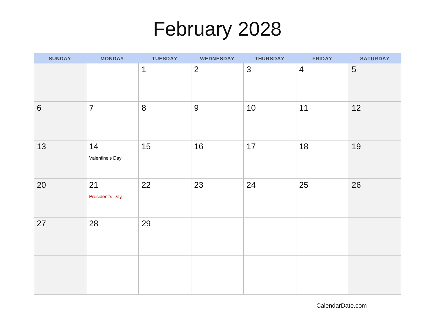## February 2028

| <b>SUNDAY</b>   | <b>MONDAY</b>         | <b>TUESDAY</b> | <b>WEDNESDAY</b> | <b>THURSDAY</b> | <b>FRIDAY</b>  | <b>SATURDAY</b> |
|-----------------|-----------------------|----------------|------------------|-----------------|----------------|-----------------|
|                 |                       | 1              | $\overline{2}$   | $\mathfrak{S}$  | $\overline{4}$ | 5               |
| $6\phantom{1}6$ | $\overline{7}$        | 8              | 9                | 10              | 11             | 12              |
| 13              | 14<br>Valentine's Day | 15             | 16               | 17              | 18             | 19              |
| 20              | 21<br>President's Day | 22             | 23               | 24              | 25             | 26              |
| 27              | 28                    | 29             |                  |                 |                |                 |
|                 |                       |                |                  |                 |                |                 |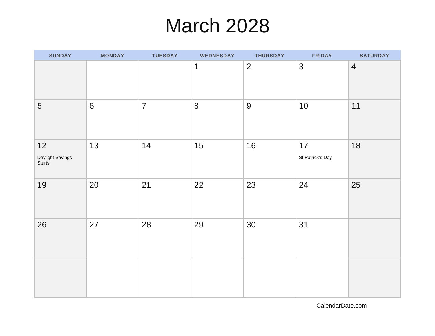### March 2028

| <b>SUNDAY</b>                    | <b>MONDAY</b> | <b>TUESDAY</b> | <b>WEDNESDAY</b> | <b>THURSDAY</b> | <b>FRIDAY</b>          | <b>SATURDAY</b> |
|----------------------------------|---------------|----------------|------------------|-----------------|------------------------|-----------------|
|                                  |               |                | $\mathbf 1$      | $\overline{2}$  | 3                      | $\overline{4}$  |
| $\overline{5}$                   | $6\,$         | $\overline{7}$ | 8                | $9$             | 10                     | 11              |
| 12<br>Daylight Savings<br>Starts | 13            | 14             | 15               | 16              | 17<br>St Patrick's Day | 18              |
| 19                               | 20            | 21             | 22               | 23              | 24                     | 25              |
| 26                               | 27            | 28             | 29               | 30              | 31                     |                 |
|                                  |               |                |                  |                 |                        |                 |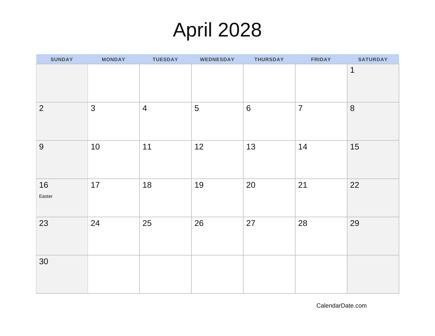# April 2028

| <b>SUNDAY</b>  | <b>MONDAY</b>  | <b>TUESDAY</b> | <b>WEDNESDAY</b> | <b>THURSDAY</b> | <b>FRIDAY</b>  | <b>SATURDAY</b> |
|----------------|----------------|----------------|------------------|-----------------|----------------|-----------------|
|                |                |                |                  |                 |                | $\mathbf 1$     |
| $\overline{2}$ | $\mathfrak{S}$ | $\overline{4}$ | 5                | $6\phantom{1}6$ | $\overline{7}$ | $8\phantom{1}$  |
| 9              | 10             | 11             | 12               | 13              | 14             | 15              |
| 16<br>Easter   | 17             | 18             | 19               | 20              | 21             | 22              |
| 23             | 24             | 25             | 26               | 27              | 28             | 29              |
| 30             |                |                |                  |                 |                |                 |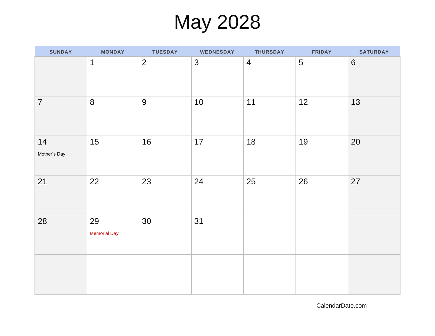## May 2028

| <b>SUNDAY</b>      | <b>MONDAY</b>             | <b>TUESDAY</b> | <b>WEDNESDAY</b> | <b>THURSDAY</b> | <b>FRIDAY</b> | <b>SATURDAY</b> |
|--------------------|---------------------------|----------------|------------------|-----------------|---------------|-----------------|
|                    | 1                         | $\overline{2}$ | 3                | $\overline{4}$  | 5             | $6\phantom{1}6$ |
| $\overline{7}$     | $8\phantom{1}$            | 9              | 10               | 11              | 12            | 13              |
| 14<br>Mother's Day | 15                        | 16             | 17               | 18              | 19            | 20              |
| 21                 | 22                        | 23             | 24               | 25              | 26            | 27              |
| 28                 | 29<br><b>Memorial Day</b> | 30             | 31               |                 |               |                 |
|                    |                           |                |                  |                 |               |                 |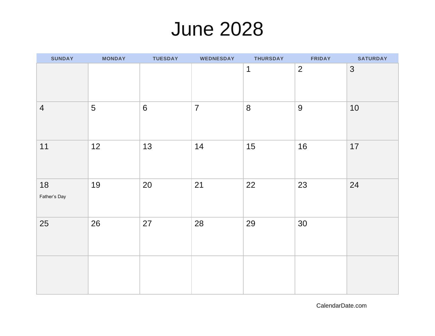### June 2028

| <b>SUNDAY</b>      | <b>MONDAY</b> | <b>TUESDAY</b> | <b>WEDNESDAY</b> | <b>THURSDAY</b> | <b>FRIDAY</b>  | <b>SATURDAY</b> |
|--------------------|---------------|----------------|------------------|-----------------|----------------|-----------------|
|                    |               |                |                  | $\mathbf 1$     | $\overline{2}$ | 3               |
| $\overline{4}$     | 5             | $6\,$          | $\overline{7}$   | $8\phantom{1}$  | 9              | 10              |
| 11                 | 12            | 13             | 14               | 15              | 16             | 17              |
| 18<br>Father's Day | 19            | 20             | 21               | 22              | 23             | 24              |
| 25                 | 26            | 27             | 28               | 29              | 30             |                 |
|                    |               |                |                  |                 |                |                 |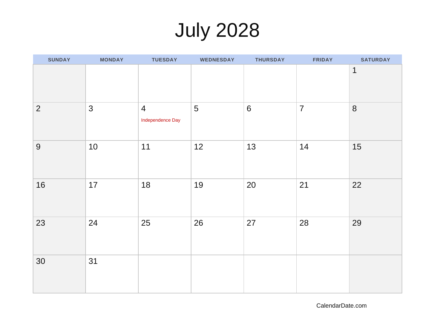# July 2028

| <b>SUNDAY</b>  | <b>MONDAY</b>  | <b>TUESDAY</b>                     | <b>WEDNESDAY</b> | <b>THURSDAY</b> | <b>FRIDAY</b>  | <b>SATURDAY</b> |
|----------------|----------------|------------------------------------|------------------|-----------------|----------------|-----------------|
|                |                |                                    |                  |                 |                | $\mathbf{1}$    |
| $\overline{2}$ | $\mathfrak{S}$ | $\overline{4}$<br>Independence Day | 5                | $\sqrt{6}$      | $\overline{7}$ | 8               |
| 9              | 10             | 11                                 | 12               | 13              | 14             | 15              |
| 16             | 17             | 18                                 | 19               | 20              | 21             | 22              |
| 23             | 24             | 25                                 | 26               | 27              | 28             | 29              |
| 30             | 31             |                                    |                  |                 |                |                 |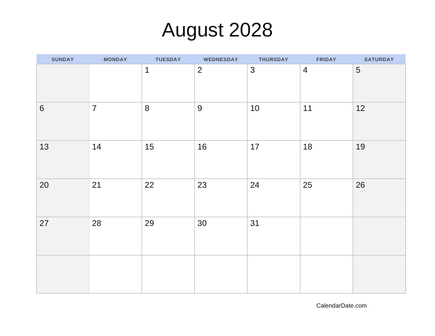# August 2028

| <b>SUNDAY</b>  | <b>MONDAY</b>  | <b>TUESDAY</b> | <b>WEDNESDAY</b> | <b>THURSDAY</b> | <b>FRIDAY</b>  | <b>SATURDAY</b> |
|----------------|----------------|----------------|------------------|-----------------|----------------|-----------------|
|                |                | $\mathbf 1$    | $\overline{2}$   | $\mathfrak{S}$  | $\overline{4}$ | 5               |
| $6\phantom{a}$ | $\overline{7}$ | 8              | 9                | 10              | 11             | 12              |
| 13             | 14             | 15             | 16               | 17              | 18             | 19              |
| 20             | 21             | 22             | 23               | 24              | 25             | 26              |
| 27             | 28             | 29             | 30               | 31              |                |                 |
|                |                |                |                  |                 |                |                 |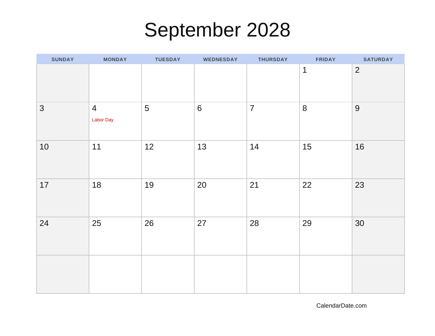## September 2028

| <b>SUNDAY</b>  | <b>MONDAY</b>                      | <b>TUESDAY</b> | <b>WEDNESDAY</b> | <b>THURSDAY</b> | <b>FRIDAY</b> | <b>SATURDAY</b> |
|----------------|------------------------------------|----------------|------------------|-----------------|---------------|-----------------|
|                |                                    |                |                  |                 | $\mathbf 1$   | $\overline{2}$  |
| $\mathfrak{S}$ | $\overline{4}$<br><b>Labor Day</b> | 5              | $6\,$            | $\overline{7}$  | 8             | 9               |
| 10             | 11                                 | 12             | 13               | 14              | 15            | 16              |
| 17             | 18                                 | 19             | 20               | 21              | 22            | 23              |
| 24             | 25                                 | 26             | 27               | 28              | 29            | 30              |
|                |                                    |                |                  |                 |               |                 |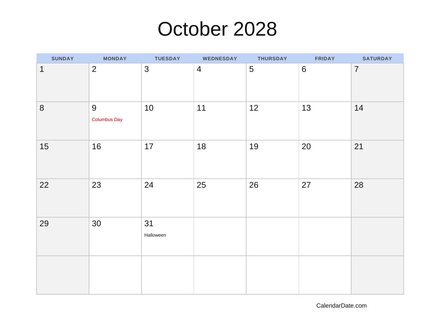### October 2028

| SUNDAY      | <b>MONDAY</b>            | <b>TUESDAY</b>  | <b>WEDNESDAY</b> | <b>THURSDAY</b> | <b>FRIDAY</b>  | <b>SATURDAY</b> |
|-------------|--------------------------|-----------------|------------------|-----------------|----------------|-----------------|
| $\mathbf 1$ | $\overline{2}$           | 3               | $\overline{4}$   | 5               | $6\phantom{1}$ | $\overline{7}$  |
| 8           | 9<br><b>Columbus Day</b> | 10              | 11               | 12              | 13             | 14              |
| 15          | 16                       | 17              | 18               | 19              | 20             | 21              |
| 22          | 23                       | 24              | 25               | 26              | 27             | 28              |
| 29          | 30                       | 31<br>Halloween |                  |                 |                |                 |
|             |                          |                 |                  |                 |                |                 |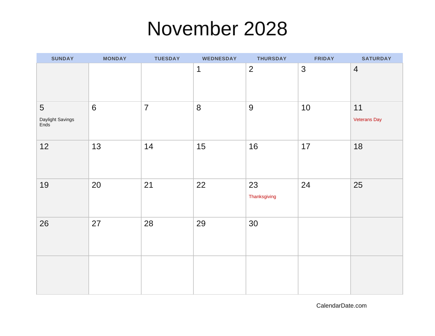### November 2028

| <b>SUNDAY</b>                 | <b>MONDAY</b> | <b>TUESDAY</b> | <b>WEDNESDAY</b> | <b>THURSDAY</b>    | <b>FRIDAY</b> | <b>SATURDAY</b>           |
|-------------------------------|---------------|----------------|------------------|--------------------|---------------|---------------------------|
|                               |               |                | $\mathbf 1$      | $\overline{2}$     | 3             | $\overline{4}$            |
| 5<br>Daylight Savings<br>Ends | $6\,$         | $\overline{7}$ | 8                | 9                  | 10            | 11<br><b>Veterans Day</b> |
| 12                            | 13            | 14             | 15               | 16                 | 17            | 18                        |
| 19                            | 20            | 21             | 22               | 23<br>Thanksgiving | 24            | 25                        |
| 26                            | 27            | 28             | 29               | 30                 |               |                           |
|                               |               |                |                  |                    |               |                           |